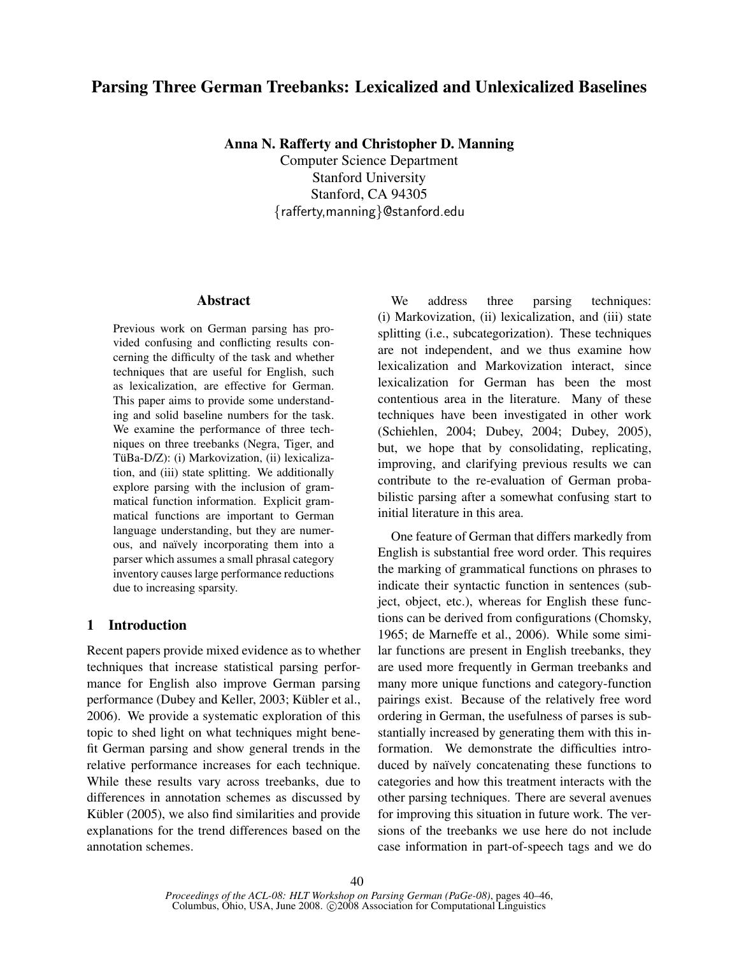# Parsing Three German Treebanks: Lexicalized and Unlexicalized Baselines

Anna N. Rafferty and Christopher D. Manning

Computer Science Department Stanford University Stanford, CA 94305 {rafferty,manning}@stanford.edu

### Abstract

Previous work on German parsing has provided confusing and conflicting results concerning the difficulty of the task and whether techniques that are useful for English, such as lexicalization, are effective for German. This paper aims to provide some understanding and solid baseline numbers for the task. We examine the performance of three techniques on three treebanks (Negra, Tiger, and TüBa-D/Z): (i) Markovization, (ii) lexicalization, and (iii) state splitting. We additionally explore parsing with the inclusion of grammatical function information. Explicit grammatical functions are important to German language understanding, but they are numerous, and naïvely incorporating them into a parser which assumes a small phrasal category inventory causes large performance reductions due to increasing sparsity.

## 1 Introduction

Recent papers provide mixed evidence as to whether techniques that increase statistical parsing performance for English also improve German parsing performance (Dubey and Keller, 2003; Kübler et al., 2006). We provide a systematic exploration of this topic to shed light on what techniques might benefit German parsing and show general trends in the relative performance increases for each technique. While these results vary across treebanks, due to differences in annotation schemes as discussed by Kübler (2005), we also find similarities and provide explanations for the trend differences based on the annotation schemes.

We address three parsing techniques: (i) Markovization, (ii) lexicalization, and (iii) state splitting (i.e., subcategorization). These techniques are not independent, and we thus examine how lexicalization and Markovization interact, since lexicalization for German has been the most contentious area in the literature. Many of these techniques have been investigated in other work (Schiehlen, 2004; Dubey, 2004; Dubey, 2005), but, we hope that by consolidating, replicating, improving, and clarifying previous results we can contribute to the re-evaluation of German probabilistic parsing after a somewhat confusing start to initial literature in this area.

One feature of German that differs markedly from English is substantial free word order. This requires the marking of grammatical functions on phrases to indicate their syntactic function in sentences (subject, object, etc.), whereas for English these functions can be derived from configurations (Chomsky, 1965; de Marneffe et al., 2006). While some similar functions are present in English treebanks, they are used more frequently in German treebanks and many more unique functions and category-function pairings exist. Because of the relatively free word ordering in German, the usefulness of parses is substantially increased by generating them with this information. We demonstrate the difficulties introduced by naïvely concatenating these functions to categories and how this treatment interacts with the other parsing techniques. There are several avenues for improving this situation in future work. The versions of the treebanks we use here do not include case information in part-of-speech tags and we do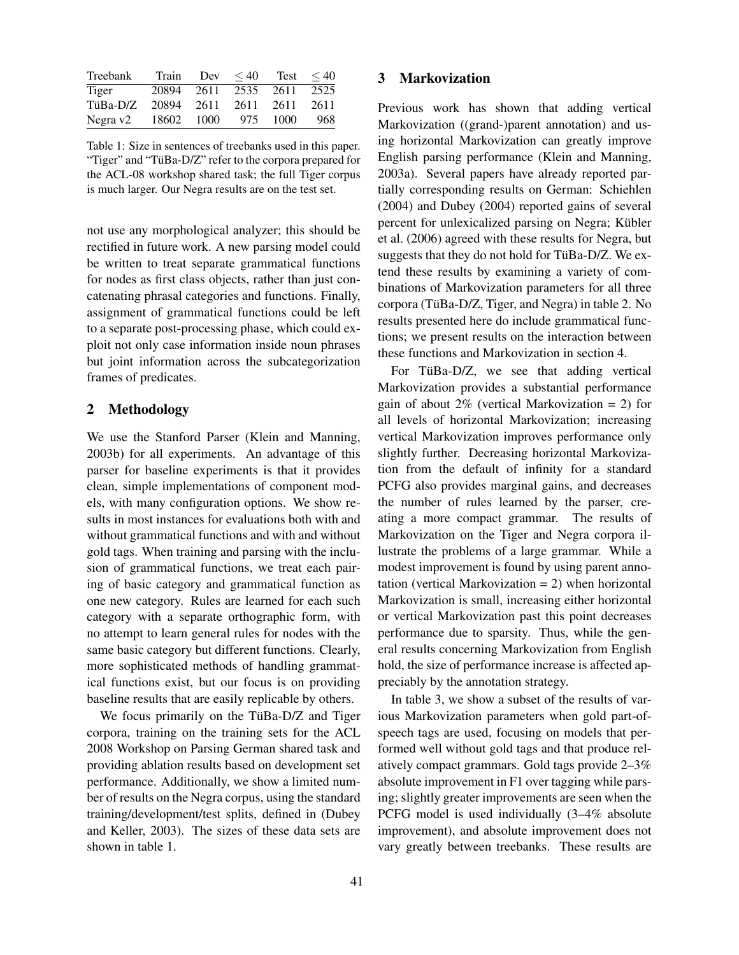| Treebank | Train      | Dev  | $\leq 40$ | <b>Test</b> | $\leq 40$ |
|----------|------------|------|-----------|-------------|-----------|
| Tiger    | 20894      | 2611 | 2535      | 2611        | 2525      |
| TüBa-D/Z | 20894 2611 |      | 2611      | 2611        | 2611      |
| Negra v2 | 18602      | 1000 | 975       | 1000        | 968       |

Table 1: Size in sentences of treebanks used in this paper. "Tiger" and "TüBa-D/Z" refer to the corpora prepared for the ACL-08 workshop shared task; the full Tiger corpus is much larger. Our Negra results are on the test set.

not use any morphological analyzer; this should be rectified in future work. A new parsing model could be written to treat separate grammatical functions for nodes as first class objects, rather than just concatenating phrasal categories and functions. Finally, assignment of grammatical functions could be left to a separate post-processing phase, which could exploit not only case information inside noun phrases but joint information across the subcategorization frames of predicates.

#### 2 Methodology

We use the Stanford Parser (Klein and Manning, 2003b) for all experiments. An advantage of this parser for baseline experiments is that it provides clean, simple implementations of component models, with many configuration options. We show results in most instances for evaluations both with and without grammatical functions and with and without gold tags. When training and parsing with the inclusion of grammatical functions, we treat each pairing of basic category and grammatical function as one new category. Rules are learned for each such category with a separate orthographic form, with no attempt to learn general rules for nodes with the same basic category but different functions. Clearly, more sophisticated methods of handling grammatical functions exist, but our focus is on providing baseline results that are easily replicable by others.

We focus primarily on the TüBa-D/Z and Tiger corpora, training on the training sets for the ACL 2008 Workshop on Parsing German shared task and providing ablation results based on development set performance. Additionally, we show a limited number of results on the Negra corpus, using the standard training/development/test splits, defined in (Dubey and Keller, 2003). The sizes of these data sets are shown in table 1.

#### 3 Markovization

Previous work has shown that adding vertical Markovization ((grand-)parent annotation) and using horizontal Markovization can greatly improve English parsing performance (Klein and Manning, 2003a). Several papers have already reported partially corresponding results on German: Schiehlen (2004) and Dubey (2004) reported gains of several percent for unlexicalized parsing on Negra; Kübler et al. (2006) agreed with these results for Negra, but suggests that they do not hold for TüBa-D/Z. We extend these results by examining a variety of combinations of Markovization parameters for all three corpora (TüBa-D/Z, Tiger, and Negra) in table 2. No results presented here do include grammatical functions; we present results on the interaction between these functions and Markovization in section 4.

For TüBa-D/Z, we see that adding vertical Markovization provides a substantial performance gain of about  $2\%$  (vertical Markovization = 2) for all levels of horizontal Markovization; increasing vertical Markovization improves performance only slightly further. Decreasing horizontal Markovization from the default of infinity for a standard PCFG also provides marginal gains, and decreases the number of rules learned by the parser, creating a more compact grammar. The results of Markovization on the Tiger and Negra corpora illustrate the problems of a large grammar. While a modest improvement is found by using parent annotation (vertical Markovization = 2) when horizontal Markovization is small, increasing either horizontal or vertical Markovization past this point decreases performance due to sparsity. Thus, while the general results concerning Markovization from English hold, the size of performance increase is affected appreciably by the annotation strategy.

In table 3, we show a subset of the results of various Markovization parameters when gold part-ofspeech tags are used, focusing on models that performed well without gold tags and that produce relatively compact grammars. Gold tags provide 2–3% absolute improvement in F1 over tagging while parsing; slightly greater improvements are seen when the PCFG model is used individually (3–4% absolute improvement), and absolute improvement does not vary greatly between treebanks. These results are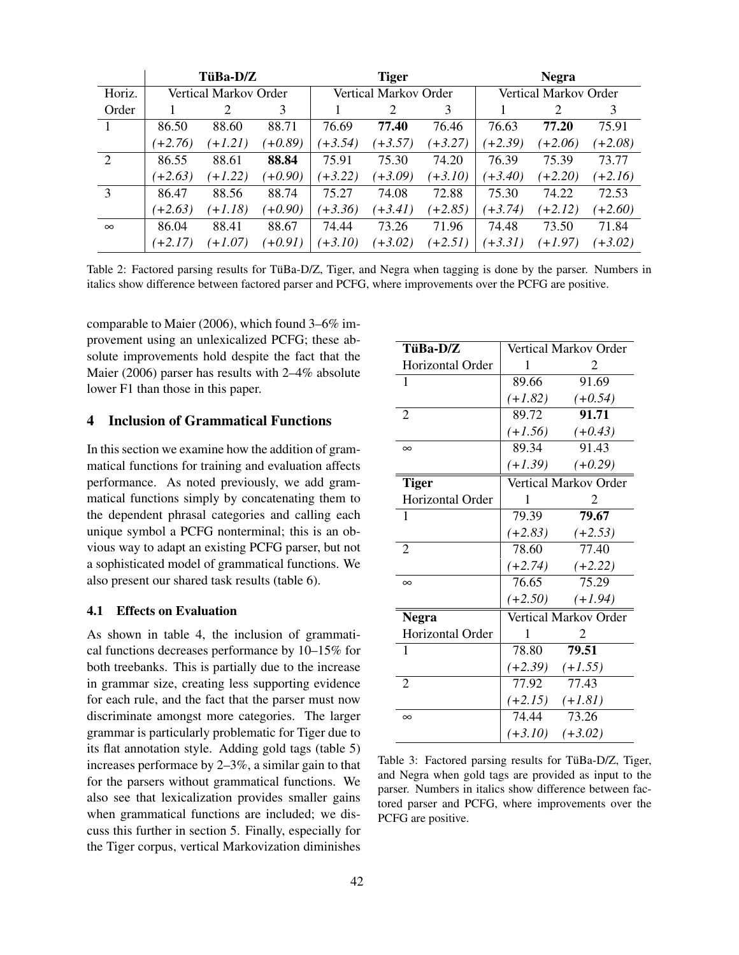|                |           | TüBa-D/Z              |           |           | <b>Tiger</b>          |           |                       | <b>Negra</b> |           |
|----------------|-----------|-----------------------|-----------|-----------|-----------------------|-----------|-----------------------|--------------|-----------|
| Horiz.         |           | Vertical Markov Order |           |           | Vertical Markov Order |           | Vertical Markov Order |              |           |
| Order          |           |                       | 3         |           | 2                     | 3         |                       | 2            | 3         |
|                | 86.50     | 88.60                 | 88.71     | 76.69     | 77.40                 | 76.46     | 76.63                 | 77.20        | 75.91     |
|                | $(+2.76)$ | $(+1.21)$             | $(+0.89)$ | $(+3.54)$ | $(+3.57)$             | $(+3.27)$ | $(+2.39)$             | $(+2.06)$    | $(+2.08)$ |
| $\overline{2}$ | 86.55     | 88.61                 | 88.84     | 75.91     | 75.30                 | 74.20     | 76.39                 | 75.39        | 73.77     |
|                | $(+2.63)$ | $+1.22$               | $(+0.90)$ | $(+3.22)$ | $(+3.09)$             | $(+3.10)$ | $(+3.40)$             | $(+2.20)$    | $(+2.16)$ |
| 3              | 86.47     | 88.56                 | 88.74     | 75.27     | 74.08                 | 72.88     | 75.30                 | 74.22        | 72.53     |
|                | $(+2.63)$ | $+1.18$               | $(+0.90)$ | $(+3.36)$ | $(+3.41)$             | $(+2.85)$ | $(+3.74)$             | $(+2.12)$    | $(+2.60)$ |
| $\infty$       | 86.04     | 88.41                 | 88.67     | 74.44     | 73.26                 | 71.96     | 74.48                 | 73.50        | 71.84     |
|                | $(+2.17)$ | $+1.07$               | $(+0.91)$ | $(+3.10)$ | $(+3.02)$             | $(+2.51)$ | $+3.31)$              | $(+1.97)$    | $(+3.02)$ |

Table 2: Factored parsing results for TüBa-D/Z, Tiger, and Negra when tagging is done by the parser. Numbers in italics show difference between factored parser and PCFG, where improvements over the PCFG are positive.

comparable to Maier (2006), which found 3–6% improvement using an unlexicalized PCFG; these absolute improvements hold despite the fact that the Maier (2006) parser has results with 2–4% absolute lower F1 than those in this paper.

#### 4 Inclusion of Grammatical Functions

In this section we examine how the addition of grammatical functions for training and evaluation affects performance. As noted previously, we add grammatical functions simply by concatenating them to the dependent phrasal categories and calling each unique symbol a PCFG nonterminal; this is an obvious way to adapt an existing PCFG parser, but not a sophisticated model of grammatical functions. We also present our shared task results (table 6).

## 4.1 Effects on Evaluation

As shown in table 4, the inclusion of grammatical functions decreases performance by 10–15% for both treebanks. This is partially due to the increase in grammar size, creating less supporting evidence for each rule, and the fact that the parser must now discriminate amongst more categories. The larger grammar is particularly problematic for Tiger due to its flat annotation style. Adding gold tags (table 5) increases performace by 2–3%, a similar gain to that for the parsers without grammatical functions. We also see that lexicalization provides smaller gains when grammatical functions are included; we discuss this further in section 5. Finally, especially for the Tiger corpus, vertical Markovization diminishes

| TüBa-D/Z         | Vertical Markov Order |                       |  |
|------------------|-----------------------|-----------------------|--|
| Horizontal Order | 1                     | 2                     |  |
| 1                | 89.66                 | 91.69                 |  |
|                  | $(+1.82)$             | $(+0.54)$             |  |
| $\overline{2}$   | 89.72                 | 91.71                 |  |
|                  | $(+1.56)$             | $(+0.43)$             |  |
| $\infty$         | 89.34                 | 91.43                 |  |
|                  | $(+1.39)$             | $(+0.29)$             |  |
| <b>Tiger</b>     |                       | Vertical Markov Order |  |
| Horizontal Order | 1                     | 2                     |  |
| 1                | 79.39                 | 79.67                 |  |
|                  | $(+2.83)$             | $(+2.53)$             |  |
| $\overline{2}$   | 78.60                 | 77.40                 |  |
|                  | $(+2.74)$             | $(+2.22)$             |  |
| $\infty$         | 76.65                 | 75.29                 |  |
|                  | $(+2.50)$             | $(+1.94)$             |  |
| <b>Negra</b>     |                       | Vertical Markov Order |  |
| Horizontal Order | 1                     | 2                     |  |
| 1                | 78.80                 | 79.51                 |  |
|                  | $(+2.39)$             | $(+1.55)$             |  |
| $\overline{2}$   | 77.92                 | 77.43                 |  |
|                  |                       | $(+2.15)$ $(+1.81)$   |  |
| $\infty$         | 74.44                 | 73.26                 |  |
|                  | $(+3.10)$             | $(+3.02)$             |  |

Table 3: Factored parsing results for TüBa-D/Z, Tiger, and Negra when gold tags are provided as input to the parser. Numbers in italics show difference between factored parser and PCFG, where improvements over the PCFG are positive.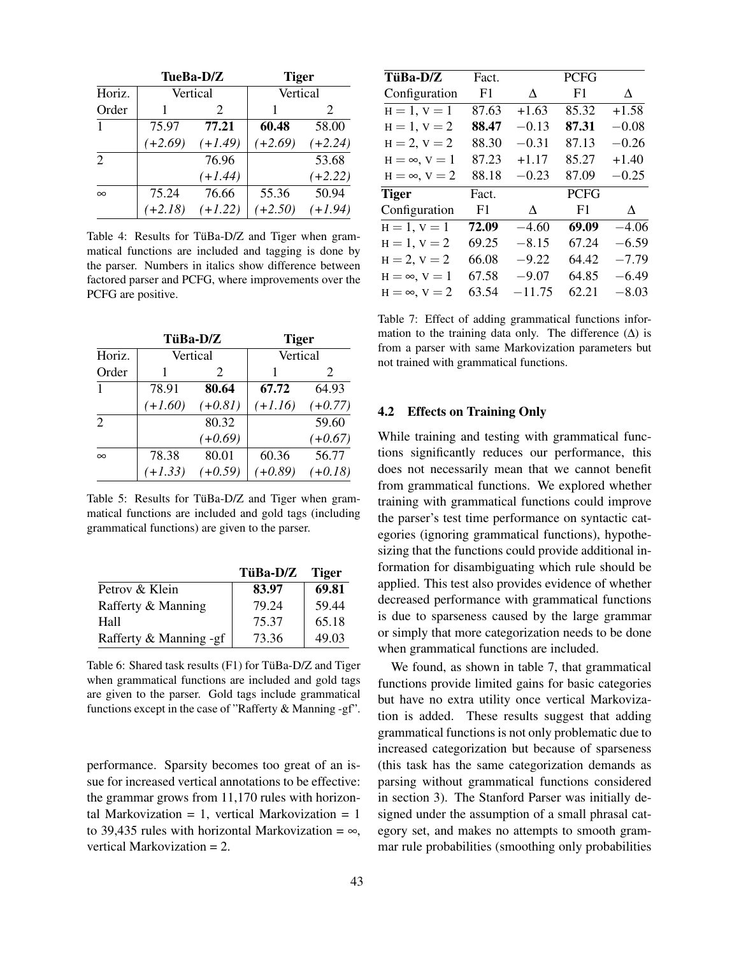| TueBa-D/Z             |           |           | <b>Tiger</b> |           |  |
|-----------------------|-----------|-----------|--------------|-----------|--|
| Horiz.                | Vertical  |           | Vertical     |           |  |
| Order                 |           | 2         |              | 2         |  |
|                       | 75.97     | 77.21     | 60.48        | 58.00     |  |
|                       | $(+2.69)$ | $(+1.49)$ | $(+2.69)$    | $(+2.24)$ |  |
| $\mathcal{D}_{\cdot}$ |           | 76.96     |              | 53.68     |  |
|                       |           | $(+1.44)$ |              | $(+2.22)$ |  |
| $\infty$              | 75.24     | 76.66     | 55.36        | 50.94     |  |
|                       | $(+2.18)$ | $(+1.22)$ | $(+2.50)$    | $(+1.94)$ |  |

Table 4: Results for TüBa-D/Z and Tiger when grammatical functions are included and tagging is done by the parser. Numbers in italics show difference between factored parser and PCFG, where improvements over the PCFG are positive.

|                |           | TüBa-D/Z  | <b>Tiger</b> |           |
|----------------|-----------|-----------|--------------|-----------|
| Horiz.         |           | Vertical  |              | Vertical  |
| Order          |           | 2         |              | 2         |
| 1              | 78.91     | 80.64     | 67.72        | 64.93     |
|                | $(+1.60)$ | $(+0.81)$ | $(+1.16)$    | $(+0.77)$ |
| $\overline{2}$ |           | 80.32     |              | 59.60     |
|                |           | $(+0.69)$ |              | $(+0.67)$ |
| $\infty$       | 78.38     | 80.01     | 60.36        | 56.77     |
|                | $(+1.33)$ | $(+0.59)$ | $(+0.89)$    | $(+0.18)$ |

Table 5: Results for TüBa- $D/Z$  and Tiger when grammatical functions are included and gold tags (including grammatical functions) are given to the parser.

|                        | TüBa-D/Z | <b>Tiger</b> |
|------------------------|----------|--------------|
| Petrov & Klein         | 83.97    | 69.81        |
| Rafferty & Manning     | 79.24    | 59.44        |
| Hall                   | 75.37    | 65.18        |
| Rafferty & Manning -gf | 73.36    | 49.03        |

Table 6: Shared task results (F1) for TüBa-D/Z and Tiger when grammatical functions are included and gold tags are given to the parser. Gold tags include grammatical functions except in the case of "Rafferty & Manning -gf".

performance. Sparsity becomes too great of an issue for increased vertical annotations to be effective: the grammar grows from 11,170 rules with horizontal Markovization = 1, vertical Markovization = 1 to 39,435 rules with horizontal Markovization =  $\infty$ , vertical Markovization = 2.

| TüBa-D/Z               | Fact. |           | <b>PCFG</b> |         |
|------------------------|-------|-----------|-------------|---------|
| Configuration          | F1    | A         | F1          | Δ       |
| $H = 1, V = 1$         | 87.63 | $+1.63$   | 85.32       | $+1.58$ |
| $H = 1, V = 2$         | 88.47 | $-0.13$   | 87.31       | $-0.08$ |
| $H = 2, V = 2$         | 88.30 | $-0.31$   | 87.13       | $-0.26$ |
| $H = \infty$ , $V = 1$ | 87.23 | $+1.17$   | 85.27       | $+1.40$ |
| $H = \infty$ , $V = 2$ | 88.18 | $-0.23$   | 87.09       | $-0.25$ |
| Tiger                  | Fact. |           | <b>PCFG</b> |         |
| Configuration          | F1    | $\Lambda$ | F1          | A       |
| $H = 1, V = 1$         | 72.09 | $-4.60$   | 69.09       | $-4.06$ |
| $H = 1, V = 2$         | 69.25 | $-8.15$   | 67.24       | $-6.59$ |
| $H = 2, V = 2$         | 66.08 | $-9.22$   | 64.42       | $-7.79$ |
| $H = \infty$ , $V = 1$ | 67.58 | $-9.07$   | 64.85       | $-6.49$ |
| $H = \infty$ , $V = 2$ | 63.54 | $-11.75$  | 62.21       | $-8.03$ |

Table 7: Effect of adding grammatical functions information to the training data only. The difference  $(∆)$  is from a parser with same Markovization parameters but not trained with grammatical functions.

#### 4.2 Effects on Training Only

While training and testing with grammatical functions significantly reduces our performance, this does not necessarily mean that we cannot benefit from grammatical functions. We explored whether training with grammatical functions could improve the parser's test time performance on syntactic categories (ignoring grammatical functions), hypothesizing that the functions could provide additional information for disambiguating which rule should be applied. This test also provides evidence of whether decreased performance with grammatical functions is due to sparseness caused by the large grammar or simply that more categorization needs to be done when grammatical functions are included.

We found, as shown in table 7, that grammatical functions provide limited gains for basic categories but have no extra utility once vertical Markovization is added. These results suggest that adding grammatical functions is not only problematic due to increased categorization but because of sparseness (this task has the same categorization demands as parsing without grammatical functions considered in section 3). The Stanford Parser was initially designed under the assumption of a small phrasal category set, and makes no attempts to smooth grammar rule probabilities (smoothing only probabilities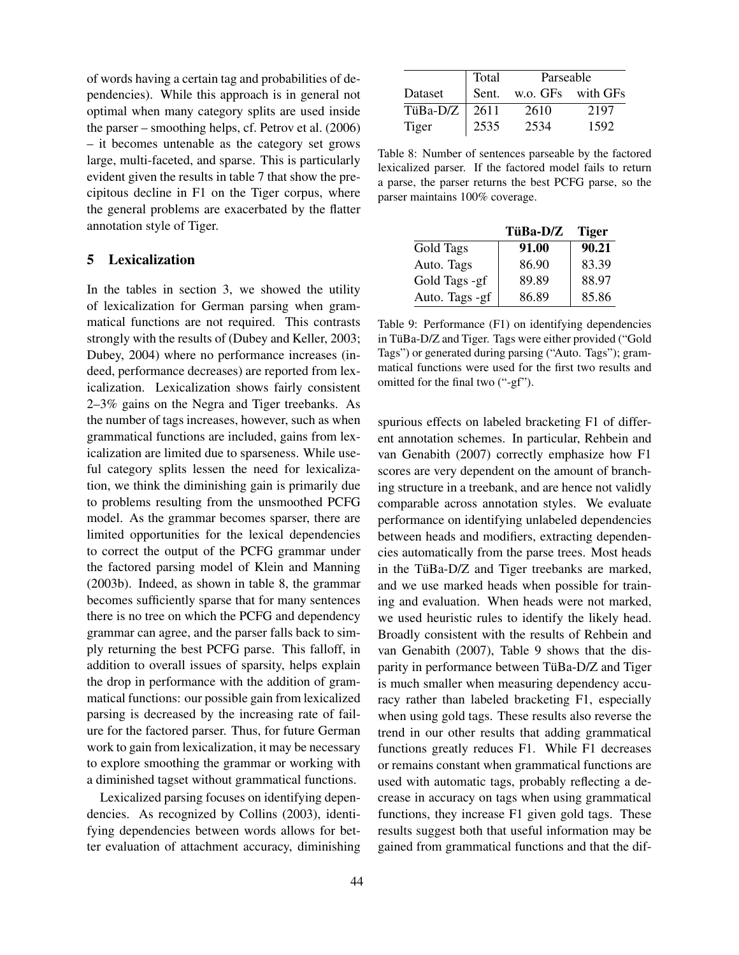of words having a certain tag and probabilities of dependencies). While this approach is in general not optimal when many category splits are used inside the parser – smoothing helps, cf. Petrov et al. (2006) – it becomes untenable as the category set grows large, multi-faceted, and sparse. This is particularly evident given the results in table 7 that show the precipitous decline in F1 on the Tiger corpus, where the general problems are exacerbated by the flatter annotation style of Tiger.

# 5 Lexicalization

In the tables in section 3, we showed the utility of lexicalization for German parsing when grammatical functions are not required. This contrasts strongly with the results of (Dubey and Keller, 2003; Dubey, 2004) where no performance increases (indeed, performance decreases) are reported from lexicalization. Lexicalization shows fairly consistent 2–3% gains on the Negra and Tiger treebanks. As the number of tags increases, however, such as when grammatical functions are included, gains from lexicalization are limited due to sparseness. While useful category splits lessen the need for lexicalization, we think the diminishing gain is primarily due to problems resulting from the unsmoothed PCFG model. As the grammar becomes sparser, there are limited opportunities for the lexical dependencies to correct the output of the PCFG grammar under the factored parsing model of Klein and Manning (2003b). Indeed, as shown in table 8, the grammar becomes sufficiently sparse that for many sentences there is no tree on which the PCFG and dependency grammar can agree, and the parser falls back to simply returning the best PCFG parse. This falloff, in addition to overall issues of sparsity, helps explain the drop in performance with the addition of grammatical functions: our possible gain from lexicalized parsing is decreased by the increasing rate of failure for the factored parser. Thus, for future German work to gain from lexicalization, it may be necessary to explore smoothing the grammar or working with a diminished tagset without grammatical functions.

Lexicalized parsing focuses on identifying dependencies. As recognized by Collins (2003), identifying dependencies between words allows for better evaluation of attachment accuracy, diminishing

|          | Total | Parseable         |      |  |
|----------|-------|-------------------|------|--|
| Dataset  | Sent. | w.o. GFs with GFs |      |  |
| TüBa-D/Z | 2611  | 2610              | 2197 |  |
| Tiger    | 2535  | 2534              | 1592 |  |

Table 8: Number of sentences parseable by the factored lexicalized parser. If the factored model fails to return a parse, the parser returns the best PCFG parse, so the parser maintains 100% coverage.

|                | TüBa-D/Z | <b>Tiger</b> |
|----------------|----------|--------------|
| Gold Tags      | 91.00    | 90.21        |
| Auto. Tags     | 86.90    | 83.39        |
| Gold Tags -gf  | 89.89    | 88.97        |
| Auto. Tags -gf | 86.89    | 85.86        |

Table 9: Performance (F1) on identifying dependencies in TüBa-D/Z and Tiger. Tags were either provided ("Gold Tags") or generated during parsing ("Auto. Tags"); grammatical functions were used for the first two results and omitted for the final two ("-gf").

spurious effects on labeled bracketing F1 of different annotation schemes. In particular, Rehbein and van Genabith (2007) correctly emphasize how F1 scores are very dependent on the amount of branching structure in a treebank, and are hence not validly comparable across annotation styles. We evaluate performance on identifying unlabeled dependencies between heads and modifiers, extracting dependencies automatically from the parse trees. Most heads in the TüBa- $D/Z$  and Tiger treebanks are marked, and we use marked heads when possible for training and evaluation. When heads were not marked, we used heuristic rules to identify the likely head. Broadly consistent with the results of Rehbein and van Genabith (2007), Table 9 shows that the disparity in performance between TüBa-D/Z and Tiger is much smaller when measuring dependency accuracy rather than labeled bracketing F1, especially when using gold tags. These results also reverse the trend in our other results that adding grammatical functions greatly reduces F1. While F1 decreases or remains constant when grammatical functions are used with automatic tags, probably reflecting a decrease in accuracy on tags when using grammatical functions, they increase F1 given gold tags. These results suggest both that useful information may be gained from grammatical functions and that the dif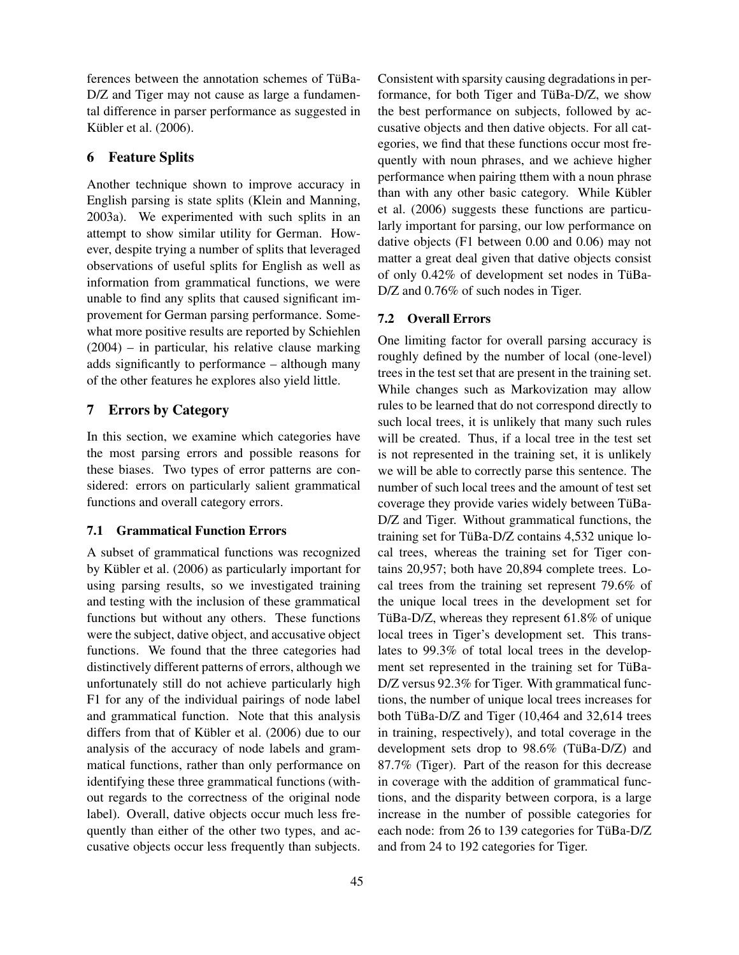ferences between the annotation schemes of TüBa-D/Z and Tiger may not cause as large a fundamental difference in parser performance as suggested in Kübler et al. (2006).

## 6 Feature Splits

Another technique shown to improve accuracy in English parsing is state splits (Klein and Manning, 2003a). We experimented with such splits in an attempt to show similar utility for German. However, despite trying a number of splits that leveraged observations of useful splits for English as well as information from grammatical functions, we were unable to find any splits that caused significant improvement for German parsing performance. Somewhat more positive results are reported by Schiehlen (2004) – in particular, his relative clause marking adds significantly to performance – although many of the other features he explores also yield little.

# 7 Errors by Category

In this section, we examine which categories have the most parsing errors and possible reasons for these biases. Two types of error patterns are considered: errors on particularly salient grammatical functions and overall category errors.

### 7.1 Grammatical Function Errors

A subset of grammatical functions was recognized by Kübler et al. (2006) as particularly important for using parsing results, so we investigated training and testing with the inclusion of these grammatical functions but without any others. These functions were the subject, dative object, and accusative object functions. We found that the three categories had distinctively different patterns of errors, although we unfortunately still do not achieve particularly high F1 for any of the individual pairings of node label and grammatical function. Note that this analysis differs from that of Kübler et al.  $(2006)$  due to our analysis of the accuracy of node labels and grammatical functions, rather than only performance on identifying these three grammatical functions (without regards to the correctness of the original node label). Overall, dative objects occur much less frequently than either of the other two types, and accusative objects occur less frequently than subjects. Consistent with sparsity causing degradations in performance, for both Tiger and TüBa- $D/Z$ , we show the best performance on subjects, followed by accusative objects and then dative objects. For all categories, we find that these functions occur most frequently with noun phrases, and we achieve higher performance when pairing tthem with a noun phrase than with any other basic category. While Kübler et al. (2006) suggests these functions are particularly important for parsing, our low performance on dative objects (F1 between 0.00 and 0.06) may not matter a great deal given that dative objects consist of only  $0.42\%$  of development set nodes in TüBa-D/Z and 0.76% of such nodes in Tiger.

#### 7.2 Overall Errors

One limiting factor for overall parsing accuracy is roughly defined by the number of local (one-level) trees in the test set that are present in the training set. While changes such as Markovization may allow rules to be learned that do not correspond directly to such local trees, it is unlikely that many such rules will be created. Thus, if a local tree in the test set is not represented in the training set, it is unlikely we will be able to correctly parse this sentence. The number of such local trees and the amount of test set coverage they provide varies widely between TüBa-D/Z and Tiger. Without grammatical functions, the training set for TüBa-D/Z contains 4,532 unique local trees, whereas the training set for Tiger contains 20,957; both have 20,894 complete trees. Local trees from the training set represent 79.6% of the unique local trees in the development set for TüBa-D/Z, whereas they represent  $61.8\%$  of unique local trees in Tiger's development set. This translates to 99.3% of total local trees in the development set represented in the training set for TüBa-D/Z versus 92.3% for Tiger. With grammatical functions, the number of unique local trees increases for both TüBa-D/Z and Tiger  $(10,464$  and  $32,614$  trees in training, respectively), and total coverage in the development sets drop to  $98.6\%$  (TüBa-D/Z) and 87.7% (Tiger). Part of the reason for this decrease in coverage with the addition of grammatical functions, and the disparity between corpora, is a large increase in the number of possible categories for each node: from 26 to 139 categories for TüBa-D/Z and from 24 to 192 categories for Tiger.